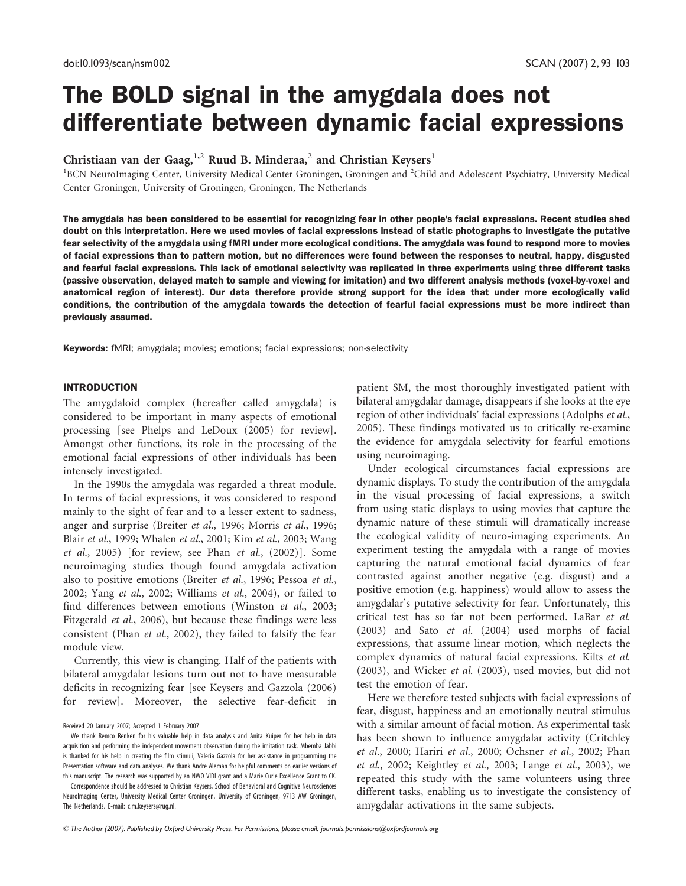# The BOLD signal in the amygdala does not differentiate between dynamic facial expressions

# Christiaan van der Gaag,  $1,2$  Ruud B. Minderaa,  $2$  and Christian Keysers<sup>1</sup>

<sup>1</sup>BCN NeuroImaging Center, University Medical Center Groningen, Groningen and <sup>2</sup>Child and Adolescent Psychiatry, University Medical Center Groningen, University of Groningen, Groningen, The Netherlands

The amygdala has been considered to be essential for recognizing fear in other people's facial expressions. Recent studies shed doubt on this interpretation. Here we used movies of facial expressions instead of static photographs to investigate the putative fear selectivity of the amygdala using fMRI under more ecological conditions. The amygdala was found to respond more to movies of facial expressions than to pattern motion, but no differences were found between the responses to neutral, happy, disgusted and fearful facial expressions. This lack of emotional selectivity was replicated in three experiments using three different tasks (passive observation, delayed match to sample and viewing for imitation) and two different analysis methods (voxel-by-voxel and anatomical region of interest). Our data therefore provide strong support for the idea that under more ecologically valid conditions, the contribution of the amygdala towards the detection of fearful facial expressions must be more indirect than previously assumed.

Keywords: fMRI; amygdala; movies; emotions; facial expressions; non-selectivity

# INTRODUCTION

The amygdaloid complex (hereafter called amygdala) is considered to be important in many aspects of emotional processing [see Phelps and LeDoux (2005) for review]. Amongst other functions, its role in the processing of the emotional facial expressions of other individuals has been intensely investigated.

In the 1990s the amygdala was regarded a threat module. In terms of facial expressions, it was considered to respond mainly to the sight of fear and to a lesser extent to sadness, anger and surprise (Breiter et al., 1996; Morris et al., 1996; Blair et al., 1999; Whalen et al., 2001; Kim et al., 2003; Wang et al., 2005) [for review, see Phan et al.,  $(2002)$ ]. Some neuroimaging studies though found amygdala activation also to positive emotions (Breiter et al., 1996; Pessoa et al., 2002; Yang et al., 2002; Williams et al., 2004), or failed to find differences between emotions (Winston et al., 2003; Fitzgerald et al., 2006), but because these findings were less consistent (Phan et al., 2002), they failed to falsify the fear module view.

Currently, this view is changing. Half of the patients with bilateral amygdalar lesions turn out not to have measurable deficits in recognizing fear [see Keysers and Gazzola (2006) for review]. Moreover, the selective fear-deficit in

Correspondence should be addressed to Christian Keysers, School of Behavioral and Cognitive Neurosciences NeuroImaging Center, University Medical Center Groningen, University of Groningen, 9713 AW Groningen, The Netherlands. E-mail: c.m.keysers@rug.nl.

patient SM, the most thoroughly investigated patient with bilateral amygdalar damage, disappears if she looks at the eye region of other individuals' facial expressions (Adolphs et al., 2005). These findings motivated us to critically re-examine the evidence for amygdala selectivity for fearful emotions using neuroimaging.

Under ecological circumstances facial expressions are dynamic displays. To study the contribution of the amygdala in the visual processing of facial expressions, a switch from using static displays to using movies that capture the dynamic nature of these stimuli will dramatically increase the ecological validity of neuro-imaging experiments. An experiment testing the amygdala with a range of movies capturing the natural emotional facial dynamics of fear contrasted against another negative (e.g. disgust) and a positive emotion (e.g. happiness) would allow to assess the amygdalar's putative selectivity for fear. Unfortunately, this critical test has so far not been performed. LaBar et al. (2003) and Sato et al. (2004) used morphs of facial expressions, that assume linear motion, which neglects the complex dynamics of natural facial expressions. Kilts et al. (2003), and Wicker et al. (2003), used movies, but did not test the emotion of fear.

Here we therefore tested subjects with facial expressions of fear, disgust, happiness and an emotionally neutral stimulus with a similar amount of facial motion. As experimental task has been shown to influence amygdalar activity (Critchley et al., 2000; Hariri et al., 2000; Ochsner et al., 2002; Phan et al., 2002; Keightley et al., 2003; Lange et al., 2003), we repeated this study with the same volunteers using three different tasks, enabling us to investigate the consistency of amygdalar activations in the same subjects.

Received 20 January 2007; Accepted 1 February 2007

We thank Remco Renken for his valuable help in data analysis and Anita Kuiper for her help in data acquisition and performing the independent movement observation during the imitation task. Mbemba Jabbi is thanked for his help in creating the film stimuli, Valeria Gazzola for her assistance in programming the Presentation software and data analyses. We thank Andre Aleman for helpful comments on earlier versions of this manuscript. The research was supported by an NWO VIDI grant and a Marie Curie Excellence Grant to CK.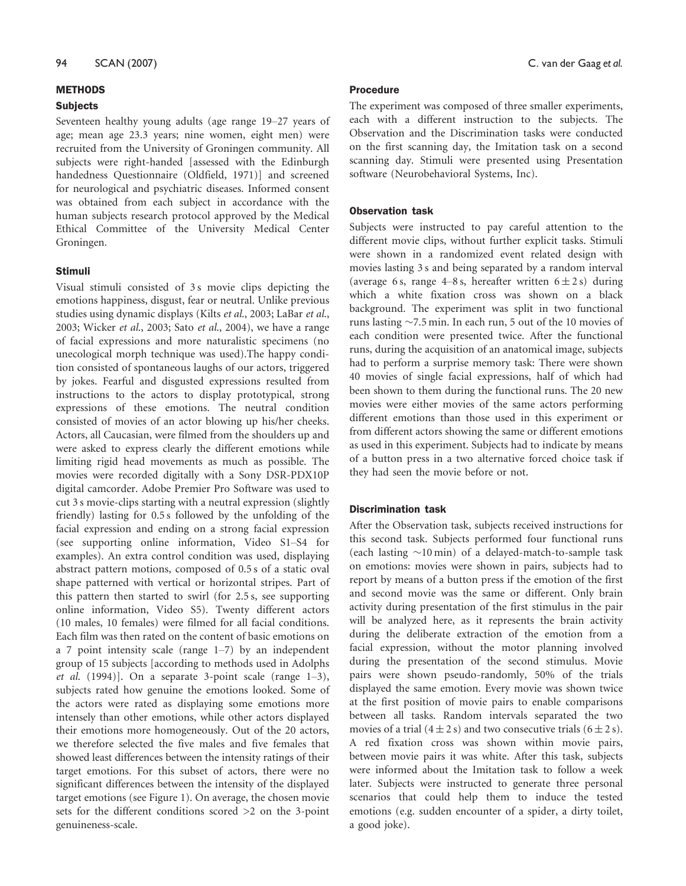# **METHODS Subjects**

Seventeen healthy young adults (age range 19–27 years of age; mean age 23.3 years; nine women, eight men) were recruited from the University of Groningen community. All subjects were right-handed [assessed with the Edinburgh handedness Questionnaire (Oldfield, 1971)] and screened for neurological and psychiatric diseases. Informed consent was obtained from each subject in accordance with the human subjects research protocol approved by the Medical Ethical Committee of the University Medical Center Groningen.

# Stimuli

Visual stimuli consisted of 3s movie clips depicting the emotions happiness, disgust, fear or neutral. Unlike previous studies using dynamic displays (Kilts et al., 2003; LaBar et al., 2003; Wicker et al., 2003; Sato et al., 2004), we have a range of facial expressions and more naturalistic specimens (no unecological morph technique was used).The happy condition consisted of spontaneous laughs of our actors, triggered by jokes. Fearful and disgusted expressions resulted from instructions to the actors to display prototypical, strong expressions of these emotions. The neutral condition consisted of movies of an actor blowing up his/her cheeks. Actors, all Caucasian, were filmed from the shoulders up and were asked to express clearly the different emotions while limiting rigid head movements as much as possible. The movies were recorded digitally with a Sony DSR-PDX10P digital camcorder. Adobe Premier Pro Software was used to cut 3 s movie-clips starting with a neutral expression (slightly friendly) lasting for 0.5 s followed by the unfolding of the facial expression and ending on a strong facial expression (see supporting online information, Video S1–S4 for examples). An extra control condition was used, displaying abstract pattern motions, composed of 0.5 s of a static oval shape patterned with vertical or horizontal stripes. Part of this pattern then started to swirl (for 2.5 s, see supporting online information, Video S5). Twenty different actors (10 males, 10 females) were filmed for all facial conditions. Each film was then rated on the content of basic emotions on a 7 point intensity scale (range  $1-7$ ) by an independent group of 15 subjects [according to methods used in Adolphs et al.  $(1994)$ ]. On a separate 3-point scale (range 1–3), subjects rated how genuine the emotions looked. Some of the actors were rated as displaying some emotions more intensely than other emotions, while other actors displayed their emotions more homogeneously. Out of the 20 actors, we therefore selected the five males and five females that showed least differences between the intensity ratings of their target emotions. For this subset of actors, there were no significant differences between the intensity of the displayed target emotions (see Figure 1). On average, the chosen movie sets for the different conditions scored >2 on the 3-point genuineness-scale.

# Procedure

The experiment was composed of three smaller experiments, each with a different instruction to the subjects. The Observation and the Discrimination tasks were conducted on the first scanning day, the Imitation task on a second scanning day. Stimuli were presented using Presentation software (Neurobehavioral Systems, Inc).

# Observation task

Subjects were instructed to pay careful attention to the different movie clips, without further explicit tasks. Stimuli were shown in a randomized event related design with movies lasting 3 s and being separated by a random interval (average 6s, range 4–8s, hereafter written  $6 \pm 2$ s) during which a white fixation cross was shown on a black background. The experiment was split in two functional runs lasting  $\sim$ 7.5 min. In each run, 5 out of the 10 movies of each condition were presented twice. After the functional runs, during the acquisition of an anatomical image, subjects had to perform a surprise memory task: There were shown 40 movies of single facial expressions, half of which had been shown to them during the functional runs. The 20 new movies were either movies of the same actors performing different emotions than those used in this experiment or from different actors showing the same or different emotions as used in this experiment. Subjects had to indicate by means of a button press in a two alternative forced choice task if they had seen the movie before or not.

# Discrimination task

After the Observation task, subjects received instructions for this second task. Subjects performed four functional runs (each lasting  $\sim$ 10 min) of a delayed-match-to-sample task on emotions: movies were shown in pairs, subjects had to report by means of a button press if the emotion of the first and second movie was the same or different. Only brain activity during presentation of the first stimulus in the pair will be analyzed here, as it represents the brain activity during the deliberate extraction of the emotion from a facial expression, without the motor planning involved during the presentation of the second stimulus. Movie pairs were shown pseudo-randomly, 50% of the trials displayed the same emotion. Every movie was shown twice at the first position of movie pairs to enable comparisons between all tasks. Random intervals separated the two movies of a trial  $(4 \pm 2 s)$  and two consecutive trials  $(6 \pm 2 s)$ . A red fixation cross was shown within movie pairs, between movie pairs it was white. After this task, subjects were informed about the Imitation task to follow a week later. Subjects were instructed to generate three personal scenarios that could help them to induce the tested emotions (e.g. sudden encounter of a spider, a dirty toilet, a good joke).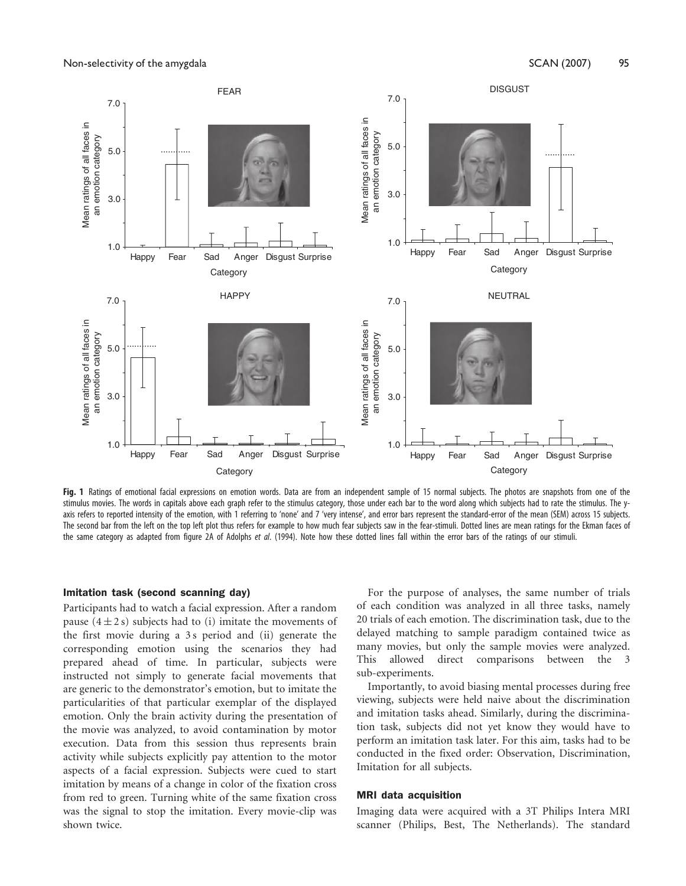

Fig. 1 Ratings of emotional facial expressions on emotion words. Data are from an independent sample of 15 normal subjects. The photos are snapshots from one of the stimulus movies. The words in capitals above each graph refer to the stimulus category, those under each bar to the word along which subjects had to rate the stimulus. The yaxis refers to reported intensity of the emotion, with 1 referring to 'none' and 7 'very intense', and error bars represent the standard-error of the mean (SEM) across 15 subjects. The second bar from the left on the top left plot thus refers for example to how much fear subjects saw in the fear-stimuli. Dotted lines are mean ratings for the Ekman faces of the same category as adapted from figure 2A of Adolphs et al. (1994). Note how these dotted lines fall within the error bars of the ratings of our stimuli.

#### Imitation task (second scanning day)

Participants had to watch a facial expression. After a random pause  $(4 \pm 2 s)$  subjects had to (i) imitate the movements of the first movie during a 3s period and (ii) generate the corresponding emotion using the scenarios they had prepared ahead of time. In particular, subjects were instructed not simply to generate facial movements that are generic to the demonstrator's emotion, but to imitate the particularities of that particular exemplar of the displayed emotion. Only the brain activity during the presentation of the movie was analyzed, to avoid contamination by motor execution. Data from this session thus represents brain activity while subjects explicitly pay attention to the motor aspects of a facial expression. Subjects were cued to start imitation by means of a change in color of the fixation cross from red to green. Turning white of the same fixation cross was the signal to stop the imitation. Every movie-clip was shown twice.

For the purpose of analyses, the same number of trials of each condition was analyzed in all three tasks, namely 20 trials of each emotion. The discrimination task, due to the delayed matching to sample paradigm contained twice as many movies, but only the sample movies were analyzed. This allowed direct comparisons between the 3 sub-experiments.

Importantly, to avoid biasing mental processes during free viewing, subjects were held naive about the discrimination and imitation tasks ahead. Similarly, during the discrimination task, subjects did not yet know they would have to perform an imitation task later. For this aim, tasks had to be conducted in the fixed order: Observation, Discrimination, Imitation for all subjects.

#### MRI data acquisition

Imaging data were acquired with a 3T Philips Intera MRI scanner (Philips, Best, The Netherlands). The standard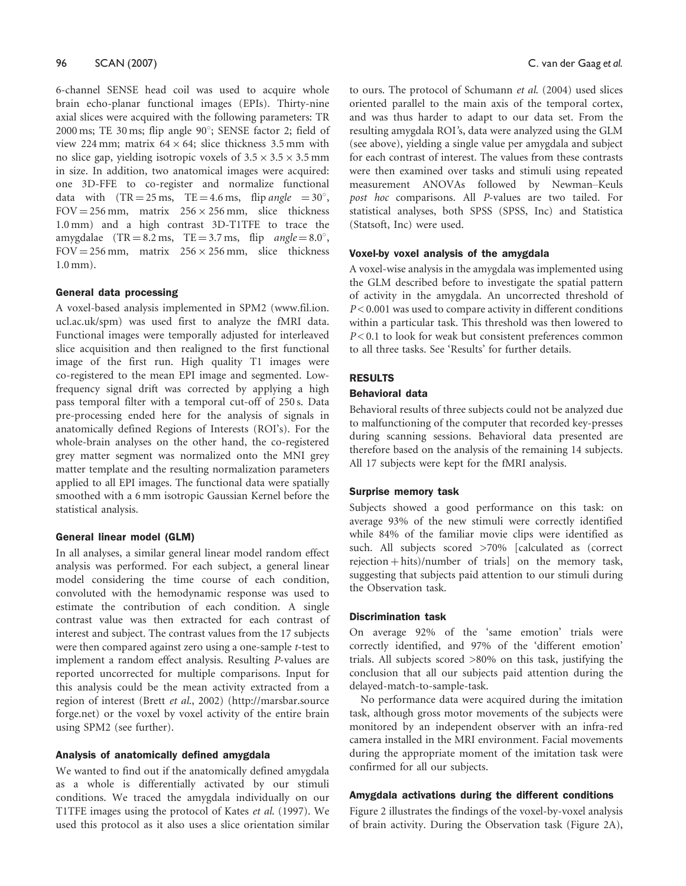6-channel SENSE head coil was used to acquire whole brain echo-planar functional images (EPIs). Thirty-nine axial slices were acquired with the following parameters: TR 2000 ms; TE 30 ms; flip angle  $90^\circ$ ; SENSE factor 2; field of view 224 mm; matrix  $64 \times 64$ ; slice thickness 3.5 mm with no slice gap, yielding isotropic voxels of  $3.5 \times 3.5 \times 3.5$  mm in size. In addition, two anatomical images were acquired: one 3D-FFE to co-register and normalize functional data with  $(TR = 25 \text{ ms}, TE = 4.6 \text{ ms}, \text{ flip angle } = 30^{\circ},$  $FOV = 256$  mm, matrix  $256 \times 256$  mm, slice thickness 1.0 mm) and a high contrast 3D-T1TFE to trace the amygdalae (TR = 8.2 ms, TE = 3.7 ms, flip  $angle = 8.0^{\circ}$ ,  $FOV = 256$  mm, matrix  $256 \times 256$  mm, slice thickness 1.0 mm).

# General data processing

A voxel-based analysis implemented in SPM2 (www.fil.ion. ucl.ac.uk/spm) was used first to analyze the fMRI data. Functional images were temporally adjusted for interleaved slice acquisition and then realigned to the first functional image of the first run. High quality T1 images were co-registered to the mean EPI image and segmented. Lowfrequency signal drift was corrected by applying a high pass temporal filter with a temporal cut-off of 250 s. Data pre-processing ended here for the analysis of signals in anatomically defined Regions of Interests (ROI's). For the whole-brain analyses on the other hand, the co-registered grey matter segment was normalized onto the MNI grey matter template and the resulting normalization parameters applied to all EPI images. The functional data were spatially smoothed with a 6 mm isotropic Gaussian Kernel before the statistical analysis.

# General linear model (GLM)

In all analyses, a similar general linear model random effect analysis was performed. For each subject, a general linear model considering the time course of each condition, convoluted with the hemodynamic response was used to estimate the contribution of each condition. A single contrast value was then extracted for each contrast of interest and subject. The contrast values from the 17 subjects were then compared against zero using a one-sample t-test to implement a random effect analysis. Resulting P-values are reported uncorrected for multiple comparisons. Input for this analysis could be the mean activity extracted from a region of interest (Brett et al., 2002) [\(http://marsbar.source](http://marsbar.source) forge.net) or the voxel by voxel activity of the entire brain using SPM2 (see further).

# Analysis of anatomically defined amygdala

We wanted to find out if the anatomically defined amygdala as a whole is differentially activated by our stimuli conditions. We traced the amygdala individually on our T1TFE images using the protocol of Kates et al. (1997). We used this protocol as it also uses a slice orientation similar

to ours. The protocol of Schumann et al. (2004) used slices oriented parallel to the main axis of the temporal cortex, and was thus harder to adapt to our data set. From the resulting amygdala ROI's, data were analyzed using the GLM (see above), yielding a single value per amygdala and subject for each contrast of interest. The values from these contrasts were then examined over tasks and stimuli using repeated measurement ANOVAs followed by Newman–Keuls post hoc comparisons. All P-values are two tailed. For statistical analyses, both SPSS (SPSS, Inc) and Statistica (Statsoft, Inc) were used.

### Voxel-by voxel analysis of the amygdala

A voxel-wise analysis in the amygdala was implemented using the GLM described before to investigate the spatial pattern of activity in the amygdala. An uncorrected threshold of  $P < 0.001$  was used to compare activity in different conditions within a particular task. This threshold was then lowered to  $P < 0.1$  to look for weak but consistent preferences common to all three tasks. See 'Results' for further details.

# **RESULTS**

# Behavioral data

Behavioral results of three subjects could not be analyzed due to malfunctioning of the computer that recorded key-presses during scanning sessions. Behavioral data presented are therefore based on the analysis of the remaining 14 subjects. All 17 subjects were kept for the fMRI analysis.

# Surprise memory task

Subjects showed a good performance on this task: on average 93% of the new stimuli were correctly identified while 84% of the familiar movie clips were identified as such. All subjects scored >70% [calculated as (correct rejection + hits)/number of trials] on the memory task, suggesting that subjects paid attention to our stimuli during the Observation task.

# Discrimination task

On average 92% of the 'same emotion' trials were correctly identified, and 97% of the 'different emotion' trials. All subjects scored >80% on this task, justifying the conclusion that all our subjects paid attention during the delayed-match-to-sample-task.

No performance data were acquired during the imitation task, although gross motor movements of the subjects were monitored by an independent observer with an infra-red camera installed in the MRI environment. Facial movements during the appropriate moment of the imitation task were confirmed for all our subjects.

# Amygdala activations during the different conditions

Figure 2 illustrates the findings of the voxel-by-voxel analysis of brain activity. During the Observation task (Figure 2A),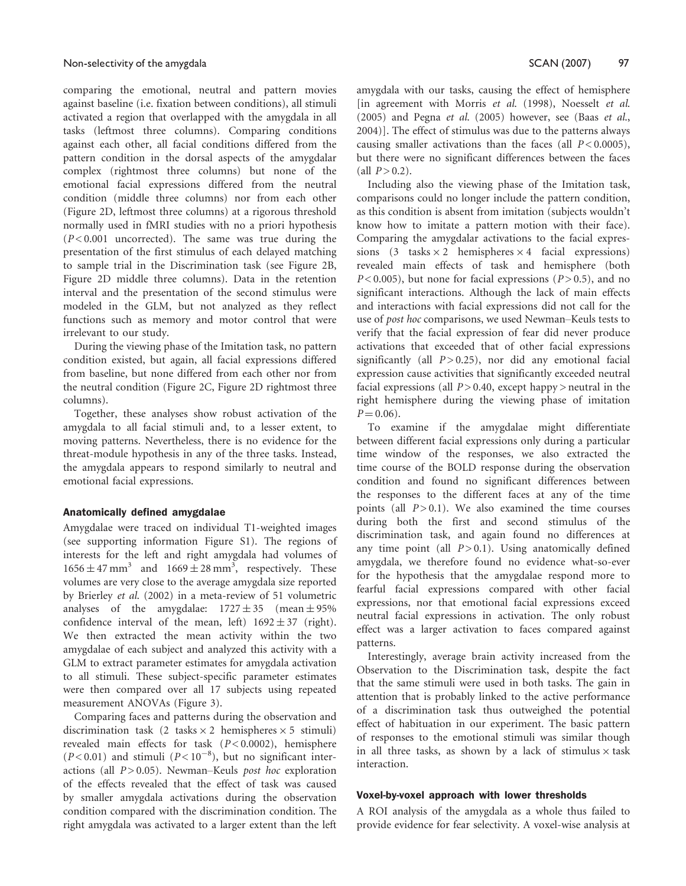comparing the emotional, neutral and pattern movies against baseline (i.e. fixation between conditions), all stimuli activated a region that overlapped with the amygdala in all tasks (leftmost three columns). Comparing conditions against each other, all facial conditions differed from the pattern condition in the dorsal aspects of the amygdalar complex (rightmost three columns) but none of the emotional facial expressions differed from the neutral condition (middle three columns) nor from each other (Figure 2D, leftmost three columns) at a rigorous threshold normally used in fMRI studies with no a priori hypothesis  $(P<0.001$  uncorrected). The same was true during the presentation of the first stimulus of each delayed matching to sample trial in the Discrimination task (see Figure 2B, Figure 2D middle three columns). Data in the retention interval and the presentation of the second stimulus were modeled in the GLM, but not analyzed as they reflect functions such as memory and motor control that were irrelevant to our study.

During the viewing phase of the Imitation task, no pattern condition existed, but again, all facial expressions differed from baseline, but none differed from each other nor from the neutral condition (Figure 2C, Figure 2D rightmost three columns).

Together, these analyses show robust activation of the amygdala to all facial stimuli and, to a lesser extent, to moving patterns. Nevertheless, there is no evidence for the threat-module hypothesis in any of the three tasks. Instead, the amygdala appears to respond similarly to neutral and emotional facial expressions.

# Anatomically defined amygdalae

Amygdalae were traced on individual T1-weighted images (see supporting information Figure S1). The regions of interests for the left and right amygdala had volumes of  $1656 \pm 47$  mm<sup>3</sup> and  $1669 \pm 28$  mm<sup>3</sup>, respectively. These volumes are very close to the average amygdala size reported by Brierley et al. (2002) in a meta-review of 51 volumetric analyses of the amygdalae:  $1727 \pm 35$  (mean  $\pm 95\%$ ) confidence interval of the mean, left)  $1692 \pm 37$  (right). We then extracted the mean activity within the two amygdalae of each subject and analyzed this activity with a GLM to extract parameter estimates for amygdala activation to all stimuli. These subject-specific parameter estimates were then compared over all 17 subjects using repeated measurement ANOVAs (Figure 3).

Comparing faces and patterns during the observation and discrimination task (2 tasks  $\times$  2 hemispheres  $\times$  5 stimuli) revealed main effects for task  $(P < 0.0002)$ , hemisphere  $(P<0.01)$  and stimuli  $(P<10^{-8})$ , but no significant interactions (all  $P > 0.05$ ). Newman–Keuls *post hoc* exploration of the effects revealed that the effect of task was caused by smaller amygdala activations during the observation condition compared with the discrimination condition. The right amygdala was activated to a larger extent than the left

amygdala with our tasks, causing the effect of hemisphere [in agreement with Morris et al. (1998), Noesselt et al. (2005) and Pegna et al. (2005) however, see (Baas et al., 2004)]. The effect of stimulus was due to the patterns always causing smaller activations than the faces (all  $P < 0.0005$ ), but there were no significant differences between the faces (all  $P > 0.2$ ).

Including also the viewing phase of the Imitation task, comparisons could no longer include the pattern condition, as this condition is absent from imitation (subjects wouldn't know how to imitate a pattern motion with their face). Comparing the amygdalar activations to the facial expressions  $(3$  tasks  $\times 2$  hemispheres  $\times 4$  facial expressions) revealed main effects of task and hemisphere (both  $P < 0.005$ ), but none for facial expressions ( $P > 0.5$ ), and no significant interactions. Although the lack of main effects and interactions with facial expressions did not call for the use of post hoc comparisons, we used Newman–Keuls tests to verify that the facial expression of fear did never produce activations that exceeded that of other facial expressions significantly (all  $P > 0.25$ ), nor did any emotional facial expression cause activities that significantly exceeded neutral facial expressions (all  $P > 0.40$ , except happy  $>$  neutral in the right hemisphere during the viewing phase of imitation  $P = 0.06$ .

To examine if the amygdalae might differentiate between different facial expressions only during a particular time window of the responses, we also extracted the time course of the BOLD response during the observation condition and found no significant differences between the responses to the different faces at any of the time points (all  $P > 0.1$ ). We also examined the time courses during both the first and second stimulus of the discrimination task, and again found no differences at any time point (all  $P > 0.1$ ). Using anatomically defined amygdala, we therefore found no evidence what-so-ever for the hypothesis that the amygdalae respond more to fearful facial expressions compared with other facial expressions, nor that emotional facial expressions exceed neutral facial expressions in activation. The only robust effect was a larger activation to faces compared against patterns.

Interestingly, average brain activity increased from the Observation to the Discrimination task, despite the fact that the same stimuli were used in both tasks. The gain in attention that is probably linked to the active performance of a discrimination task thus outweighed the potential effect of habituation in our experiment. The basic pattern of responses to the emotional stimuli was similar though in all three tasks, as shown by a lack of stimulus  $\times$  task interaction.

#### Voxel-by-voxel approach with lower thresholds

A ROI analysis of the amygdala as a whole thus failed to provide evidence for fear selectivity. A voxel-wise analysis at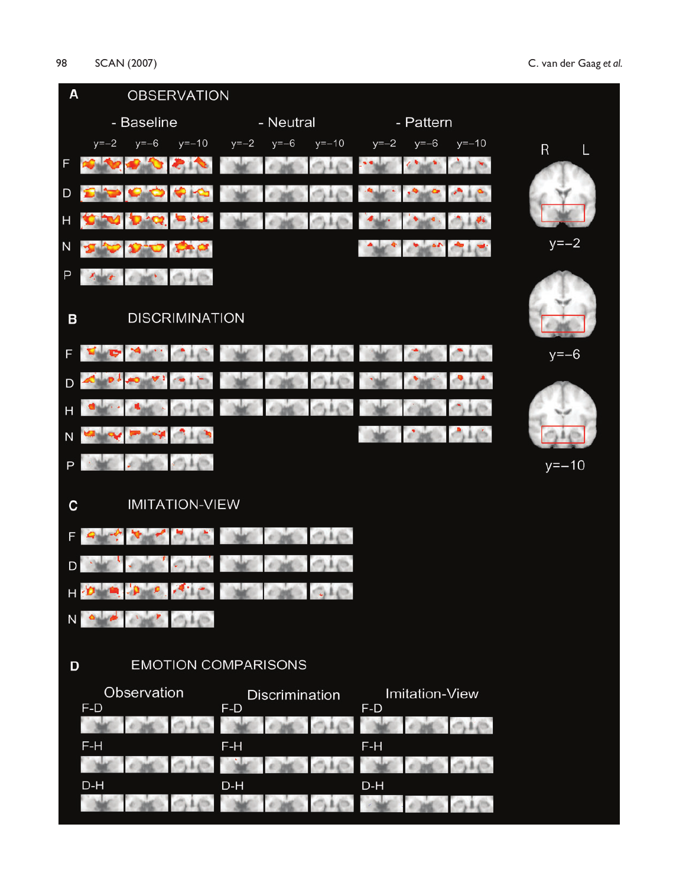98 SCAN (2007) C. van der Gaag et al.

| A            | <b>OBSERVATION</b>          |                             |                                |         |
|--------------|-----------------------------|-----------------------------|--------------------------------|---------|
|              | - Baseline                  | - Neutral                   | - Pattern                      |         |
|              | $y=-2$<br>$y=-6$<br>$y=-10$ | $y=-6$<br>$y=-2$<br>$y=-10$ | $y=-6$<br>$y=-10$<br>$v = -2$  | R<br>L  |
| F            |                             |                             |                                |         |
| D            |                             |                             |                                |         |
| Н            |                             |                             |                                |         |
| N            | <b>the ca</b>               |                             | $-1$                           | $y=-2$  |
| P            |                             |                             |                                |         |
|              |                             |                             |                                |         |
| B            | <b>DISCRIMINATION</b>       |                             |                                |         |
| F            |                             |                             |                                | $y=-6$  |
| D            |                             |                             |                                |         |
| $\mathsf{H}$ |                             |                             |                                |         |
| N            | <b>MA</b>                   |                             |                                |         |
| P            | 710                         |                             |                                | $y=-10$ |
|              |                             |                             |                                |         |
| C            | <b>IMITATION-VIEW</b>       |                             |                                |         |
|              | ъ.                          | $\sim$ $\sim$               |                                |         |
| $\mathsf D$  |                             |                             |                                |         |
|              | L'p.<br>100                 |                             |                                |         |
|              | N A A THE                   |                             |                                |         |
| D            | <b>EMOTION COMPARISONS</b>  |                             |                                |         |
|              | Observation                 |                             |                                |         |
|              | F-D                         | Discrimination<br>$F-D$     | <b>Imitation-View</b><br>$F-D$ |         |
|              |                             |                             |                                |         |
|              | $F-H$                       | $F-H$                       | $F-H$                          |         |
|              | $D-H$                       | D-H                         | 0.10<br>$D-H$                  |         |
|              |                             |                             |                                |         |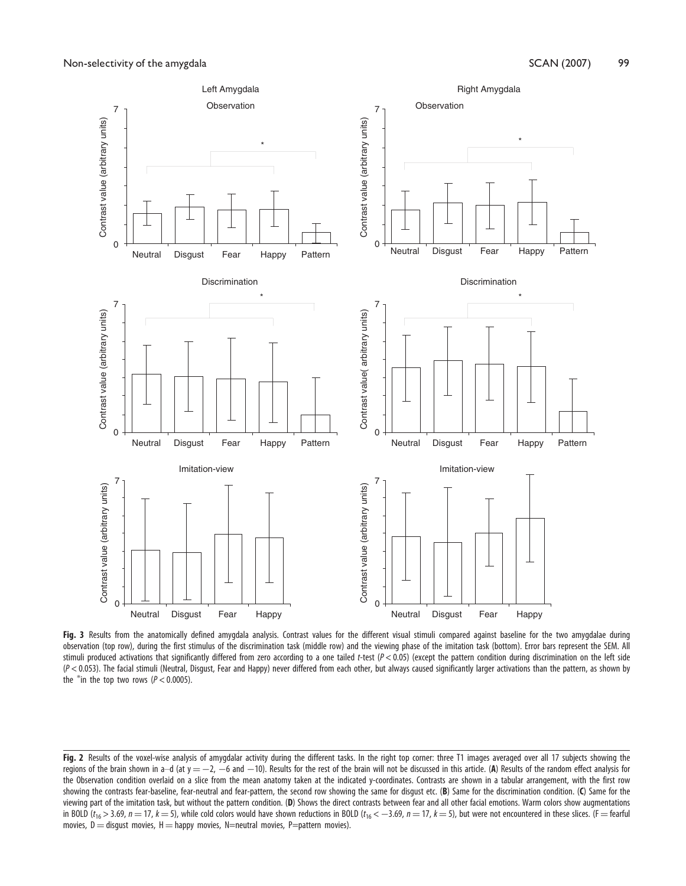

Fig. 3 Results from the anatomically defined amygdala analysis. Contrast values for the different visual stimuli compared against baseline for the two amygdalae during observation (top row), during the first stimulus of the discrimination task (middle row) and the viewing phase of the imitation task (bottom). Error bars represent the SEM. All stimuli produced activations that significantly differed from zero according to a one tailed t-test  $(P < 0.05)$  (except the pattern condition during discrimination on the left side  $(P < 0.053)$ . The facial stimuli (Neutral, Disqust, Fear and Happy) never differed from each other, but always caused significantly larger activations than the pattern, as shown by the  $*$ in the top two rows ( $P < 0.0005$ ).

Fig. 2 Results of the voxel-wise analysis of amygdalar activity during the different tasks. In the right top corner: three T1 images averaged over all 17 subjects showing the regions of the brain shown in a-d (at  $y = -2$ ,  $-6$  and  $-10$ ). Results for the rest of the brain will not be discussed in this article. (A) Results of the random effect analysis for the Observation condition overlaid on a slice from the mean anatomy taken at the indicated y-coordinates. Contrasts are shown in a tabular arrangement, with the first row showing the contrasts fear-baseline, fear-neutral and fear-pattern, the second row showing the same for disgust etc. (B) Same for the discrimination condition. (C) Same for the viewing part of the imitation task, but without the pattern condition. (D) Shows the direct contrasts between fear and all other facial emotions. Warm colors show augmentations in BOLD ( $t_{16}$  > 3.69, n = 17, k = 5), while cold colors would have shown reductions in BOLD ( $t_{16}$  < -3.69, n = 17, k = 5), but were not encountered in these slices. (F = fearful movies,  $D =$  disgust movies,  $H =$  happy movies, N=neutral movies, P=pattern movies).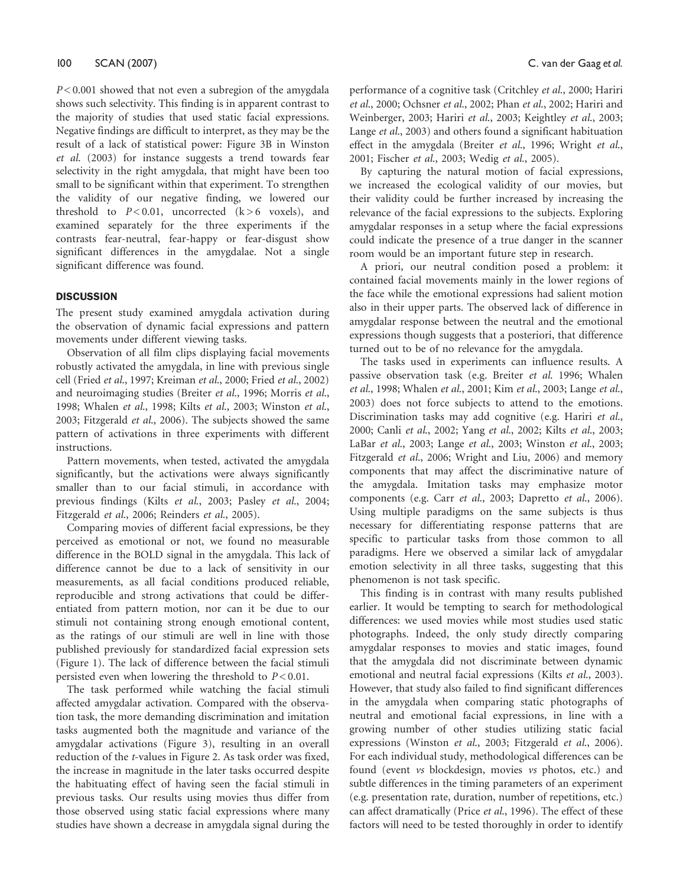$P < 0.001$  showed that not even a subregion of the amygdala shows such selectivity. This finding is in apparent contrast to the majority of studies that used static facial expressions. Negative findings are difficult to interpret, as they may be the result of a lack of statistical power: Figure 3B in Winston et al. (2003) for instance suggests a trend towards fear selectivity in the right amygdala, that might have been too small to be significant within that experiment. To strengthen the validity of our negative finding, we lowered our threshold to  $P < 0.01$ , uncorrected  $(k > 6$  voxels), and examined separately for the three experiments if the contrasts fear-neutral, fear-happy or fear-disgust show significant differences in the amygdalae. Not a single significant difference was found.

# **DISCUSSION**

The present study examined amygdala activation during the observation of dynamic facial expressions and pattern movements under different viewing tasks.

Observation of all film clips displaying facial movements robustly activated the amygdala, in line with previous single cell (Fried et al., 1997; Kreiman et al., 2000; Fried et al., 2002) and neuroimaging studies (Breiter et al., 1996; Morris et al., 1998; Whalen et al., 1998; Kilts et al., 2003; Winston et al., 2003; Fitzgerald et al., 2006). The subjects showed the same pattern of activations in three experiments with different instructions.

Pattern movements, when tested, activated the amygdala significantly, but the activations were always significantly smaller than to our facial stimuli, in accordance with previous findings (Kilts et al., 2003; Pasley et al., 2004; Fitzgerald et al., 2006; Reinders et al., 2005).

Comparing movies of different facial expressions, be they perceived as emotional or not, we found no measurable difference in the BOLD signal in the amygdala. This lack of difference cannot be due to a lack of sensitivity in our measurements, as all facial conditions produced reliable, reproducible and strong activations that could be differentiated from pattern motion, nor can it be due to our stimuli not containing strong enough emotional content, as the ratings of our stimuli are well in line with those published previously for standardized facial expression sets (Figure 1). The lack of difference between the facial stimuli persisted even when lowering the threshold to  $P < 0.01$ .

The task performed while watching the facial stimuli affected amygdalar activation. Compared with the observation task, the more demanding discrimination and imitation tasks augmented both the magnitude and variance of the amygdalar activations (Figure 3), resulting in an overall reduction of the t-values in Figure 2. As task order was fixed, the increase in magnitude in the later tasks occurred despite the habituating effect of having seen the facial stimuli in previous tasks. Our results using movies thus differ from those observed using static facial expressions where many studies have shown a decrease in amygdala signal during the performance of a cognitive task (Critchley et al., 2000; Hariri et al., 2000; Ochsner et al., 2002; Phan et al., 2002; Hariri and Weinberger, 2003; Hariri et al., 2003; Keightley et al., 2003; Lange et al., 2003) and others found a significant habituation effect in the amygdala (Breiter et al., 1996; Wright et al., 2001; Fischer et al., 2003; Wedig et al., 2005).

By capturing the natural motion of facial expressions, we increased the ecological validity of our movies, but their validity could be further increased by increasing the relevance of the facial expressions to the subjects. Exploring amygdalar responses in a setup where the facial expressions could indicate the presence of a true danger in the scanner room would be an important future step in research.

A priori, our neutral condition posed a problem: it contained facial movements mainly in the lower regions of the face while the emotional expressions had salient motion also in their upper parts. The observed lack of difference in amygdalar response between the neutral and the emotional expressions though suggests that a posteriori, that difference turned out to be of no relevance for the amygdala.

The tasks used in experiments can influence results. A passive observation task (e.g. Breiter et al. 1996; Whalen et al., 1998; Whalen et al., 2001; Kim et al., 2003; Lange et al., 2003) does not force subjects to attend to the emotions. Discrimination tasks may add cognitive (e.g. Hariri et al., 2000; Canli et al., 2002; Yang et al., 2002; Kilts et al., 2003; LaBar et al., 2003; Lange et al., 2003; Winston et al., 2003; Fitzgerald et al., 2006; Wright and Liu, 2006) and memory components that may affect the discriminative nature of the amygdala. Imitation tasks may emphasize motor components (e.g. Carr et al., 2003; Dapretto et al., 2006). Using multiple paradigms on the same subjects is thus necessary for differentiating response patterns that are specific to particular tasks from those common to all paradigms. Here we observed a similar lack of amygdalar emotion selectivity in all three tasks, suggesting that this phenomenon is not task specific.

This finding is in contrast with many results published earlier. It would be tempting to search for methodological differences: we used movies while most studies used static photographs. Indeed, the only study directly comparing amygdalar responses to movies and static images, found that the amygdala did not discriminate between dynamic emotional and neutral facial expressions (Kilts et al., 2003). However, that study also failed to find significant differences in the amygdala when comparing static photographs of neutral and emotional facial expressions, in line with a growing number of other studies utilizing static facial expressions (Winston et al., 2003; Fitzgerald et al., 2006). For each individual study, methodological differences can be found (event vs blockdesign, movies vs photos, etc.) and subtle differences in the timing parameters of an experiment (e.g. presentation rate, duration, number of repetitions, etc.) can affect dramatically (Price et al., 1996). The effect of these factors will need to be tested thoroughly in order to identify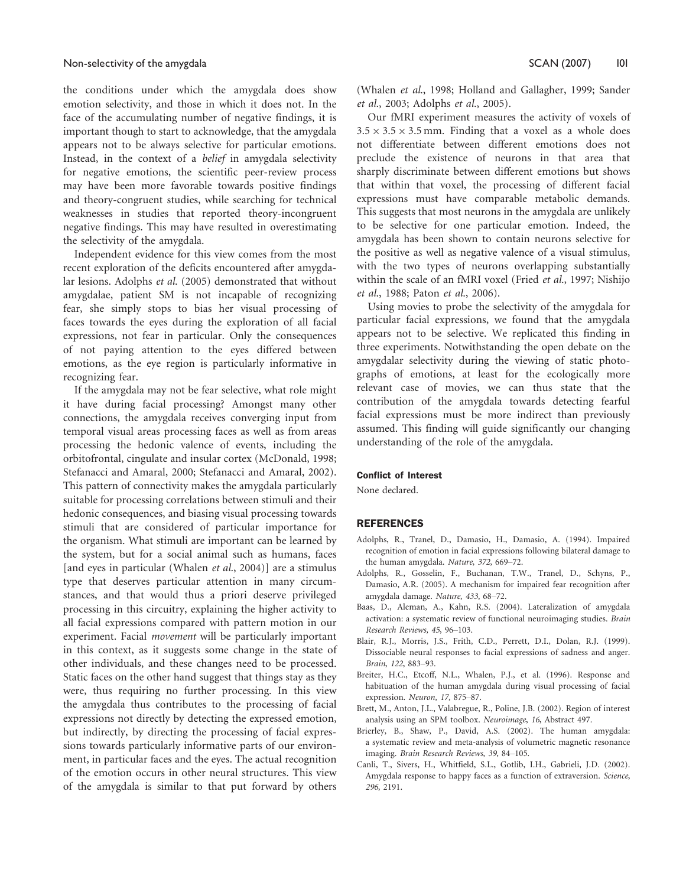the conditions under which the amygdala does show emotion selectivity, and those in which it does not. In the face of the accumulating number of negative findings, it is important though to start to acknowledge, that the amygdala appears not to be always selective for particular emotions. Instead, in the context of a belief in amygdala selectivity for negative emotions, the scientific peer-review process may have been more favorable towards positive findings and theory-congruent studies, while searching for technical weaknesses in studies that reported theory-incongruent negative findings. This may have resulted in overestimating the selectivity of the amygdala.

Independent evidence for this view comes from the most recent exploration of the deficits encountered after amygdalar lesions. Adolphs et al. (2005) demonstrated that without amygdalae, patient SM is not incapable of recognizing fear, she simply stops to bias her visual processing of faces towards the eyes during the exploration of all facial expressions, not fear in particular. Only the consequences of not paying attention to the eyes differed between emotions, as the eye region is particularly informative in recognizing fear.

If the amygdala may not be fear selective, what role might it have during facial processing? Amongst many other connections, the amygdala receives converging input from temporal visual areas processing faces as well as from areas processing the hedonic valence of events, including the orbitofrontal, cingulate and insular cortex (McDonald, 1998; Stefanacci and Amaral, 2000; Stefanacci and Amaral, 2002). This pattern of connectivity makes the amygdala particularly suitable for processing correlations between stimuli and their hedonic consequences, and biasing visual processing towards stimuli that are considered of particular importance for the organism. What stimuli are important can be learned by the system, but for a social animal such as humans, faces [and eyes in particular (Whalen et al., 2004)] are a stimulus type that deserves particular attention in many circumstances, and that would thus a priori deserve privileged processing in this circuitry, explaining the higher activity to all facial expressions compared with pattern motion in our experiment. Facial movement will be particularly important in this context, as it suggests some change in the state of other individuals, and these changes need to be processed. Static faces on the other hand suggest that things stay as they were, thus requiring no further processing. In this view the amygdala thus contributes to the processing of facial expressions not directly by detecting the expressed emotion, but indirectly, by directing the processing of facial expressions towards particularly informative parts of our environment, in particular faces and the eyes. The actual recognition of the emotion occurs in other neural structures. This view of the amygdala is similar to that put forward by others

(Whalen et al., 1998; Holland and Gallagher, 1999; Sander et al., 2003; Adolphs et al., 2005).

Our fMRI experiment measures the activity of voxels of  $3.5 \times 3.5 \times 3.5$  mm. Finding that a voxel as a whole does not differentiate between different emotions does not preclude the existence of neurons in that area that sharply discriminate between different emotions but shows that within that voxel, the processing of different facial expressions must have comparable metabolic demands. This suggests that most neurons in the amygdala are unlikely to be selective for one particular emotion. Indeed, the amygdala has been shown to contain neurons selective for the positive as well as negative valence of a visual stimulus, with the two types of neurons overlapping substantially within the scale of an fMRI voxel (Fried et al., 1997; Nishijo et al., 1988; Paton et al., 2006).

Using movies to probe the selectivity of the amygdala for particular facial expressions, we found that the amygdala appears not to be selective. We replicated this finding in three experiments. Notwithstanding the open debate on the amygdalar selectivity during the viewing of static photographs of emotions, at least for the ecologically more relevant case of movies, we can thus state that the contribution of the amygdala towards detecting fearful facial expressions must be more indirect than previously assumed. This finding will guide significantly our changing understanding of the role of the amygdala.

#### Conflict of Interest

None declared.

#### **REFERENCES**

- Adolphs, R., Tranel, D., Damasio, H., Damasio, A. (1994). Impaired recognition of emotion in facial expressions following bilateral damage to the human amygdala. Nature, 372, 669–72.
- Adolphs, R., Gosselin, F., Buchanan, T.W., Tranel, D., Schyns, P., Damasio, A.R. (2005). A mechanism for impaired fear recognition after amygdala damage. Nature, 433, 68–72.
- Baas, D., Aleman, A., Kahn, R.S. (2004). Lateralization of amygdala activation: a systematic review of functional neuroimaging studies. Brain Research Reviews, 45, 96–103.
- Blair, R.J., Morris, J.S., Frith, C.D., Perrett, D.I., Dolan, R.J. (1999). Dissociable neural responses to facial expressions of sadness and anger. Brain, 122, 883–93.
- Breiter, H.C., Etcoff, N.L., Whalen, P.J., et al. (1996). Response and habituation of the human amygdala during visual processing of facial expression. Neuron, 17, 875–87.
- Brett, M., Anton, J.L., Valabregue, R., Poline, J.B. (2002). Region of interest analysis using an SPM toolbox. Neuroimage, 16, Abstract 497.
- Brierley, B., Shaw, P., David, A.S. (2002). The human amygdala: a systematic review and meta-analysis of volumetric magnetic resonance imaging. Brain Research Reviews, 39, 84–105.
- Canli, T., Sivers, H., Whitfield, S.L., Gotlib, I.H., Gabrieli, J.D. (2002). Amygdala response to happy faces as a function of extraversion. Science, 296, 2191.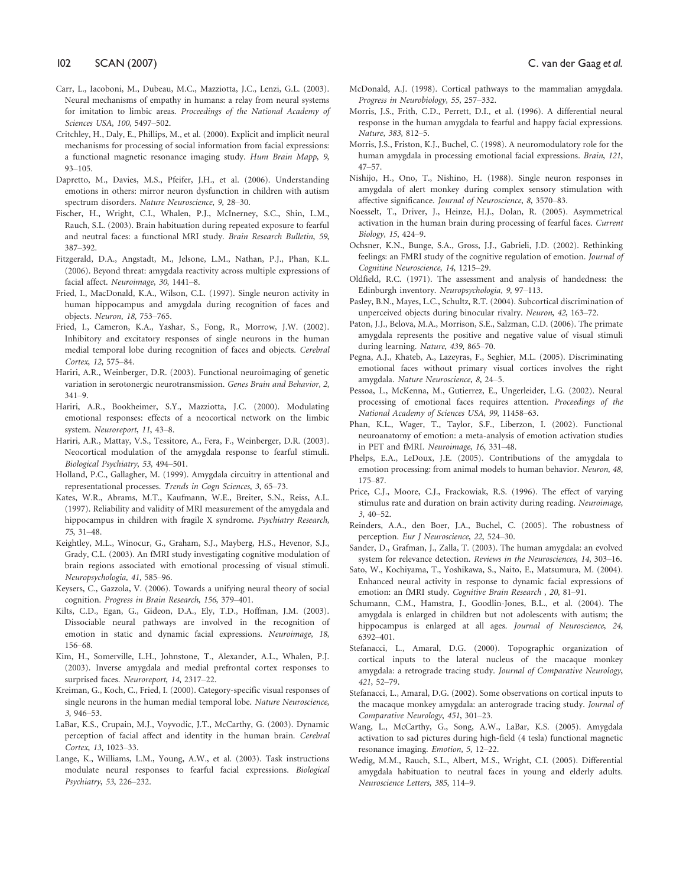### 102 SCAN (2007) C. van der Gaag et al.

- Carr, L., Iacoboni, M., Dubeau, M.C., Mazziotta, J.C., Lenzi, G.L. (2003). Neural mechanisms of empathy in humans: a relay from neural systems for imitation to limbic areas. Proceedings of the National Academy of Sciences USA, 100, 5497–502.
- Critchley, H., Daly, E., Phillips, M., et al. (2000). Explicit and implicit neural mechanisms for processing of social information from facial expressions: a functional magnetic resonance imaging study. Hum Brain Mapp, 9, 93–105.
- Dapretto, M., Davies, M.S., Pfeifer, J.H., et al. (2006). Understanding emotions in others: mirror neuron dysfunction in children with autism spectrum disorders. Nature Neuroscience, 9, 28–30.
- Fischer, H., Wright, C.I., Whalen, P.J., McInerney, S.C., Shin, L.M., Rauch, S.L. (2003). Brain habituation during repeated exposure to fearful and neutral faces: a functional MRI study. Brain Research Bulletin, 59, 387–392.
- Fitzgerald, D.A., Angstadt, M., Jelsone, L.M., Nathan, P.J., Phan, K.L. (2006). Beyond threat: amygdala reactivity across multiple expressions of facial affect. Neuroimage, 30, 1441–8.
- Fried, I., MacDonald, K.A., Wilson, C.L. (1997). Single neuron activity in human hippocampus and amygdala during recognition of faces and objects. Neuron, 18, 753–765.
- Fried, I., Cameron, K.A., Yashar, S., Fong, R., Morrow, J.W. (2002). Inhibitory and excitatory responses of single neurons in the human medial temporal lobe during recognition of faces and objects. Cerebral Cortex, 12, 575–84.
- Hariri, A.R., Weinberger, D.R. (2003). Functional neuroimaging of genetic variation in serotonergic neurotransmission. Genes Brain and Behavior, 2, 341–9.
- Hariri, A.R., Bookheimer, S.Y., Mazziotta, J.C. (2000). Modulating emotional responses: effects of a neocortical network on the limbic system. Neuroreport, 11, 43–8.
- Hariri, A.R., Mattay, V.S., Tessitore, A., Fera, F., Weinberger, D.R. (2003). Neocortical modulation of the amygdala response to fearful stimuli. Biological Psychiatry, 53, 494–501.
- Holland, P.C., Gallagher, M. (1999). Amygdala circuitry in attentional and representational processes. Trends in Cogn Sciences, 3, 65–73.
- Kates, W.R., Abrams, M.T., Kaufmann, W.E., Breiter, S.N., Reiss, A.L. (1997). Reliability and validity of MRI measurement of the amygdala and hippocampus in children with fragile X syndrome. Psychiatry Research, 75, 31–48.
- Keightley, M.L., Winocur, G., Graham, S.J., Mayberg, H.S., Hevenor, S.J., Grady, C.L. (2003). An fMRI study investigating cognitive modulation of brain regions associated with emotional processing of visual stimuli. Neuropsychologia, 41, 585–96.
- Keysers, C., Gazzola, V. (2006). Towards a unifying neural theory of social cognition. Progress in Brain Research, 156, 379–401.
- Kilts, C.D., Egan, G., Gideon, D.A., Ely, T.D., Hoffman, J.M. (2003). Dissociable neural pathways are involved in the recognition of emotion in static and dynamic facial expressions. Neuroimage, 18, 156–68.
- Kim, H., Somerville, L.H., Johnstone, T., Alexander, A.L., Whalen, P.J. (2003). Inverse amygdala and medial prefrontal cortex responses to surprised faces. Neuroreport, 14, 2317–22.
- Kreiman, G., Koch, C., Fried, I. (2000). Category-specific visual responses of single neurons in the human medial temporal lobe. Nature Neuroscience, 3, 946–53.
- LaBar, K.S., Crupain, M.J., Voyvodic, J.T., McCarthy, G. (2003). Dynamic perception of facial affect and identity in the human brain. Cerebral Cortex, 13, 1023–33.
- Lange, K., Williams, L.M., Young, A.W., et al. (2003). Task instructions modulate neural responses to fearful facial expressions. Biological Psychiatry, 53, 226–232.
- McDonald, A.J. (1998). Cortical pathways to the mammalian amygdala. Progress in Neurobiology, 55, 257–332.
- Morris, J.S., Frith, C.D., Perrett, D.I., et al. (1996). A differential neural response in the human amygdala to fearful and happy facial expressions. Nature, 383, 812–5.
- Morris, J.S., Friston, K.J., Buchel, C. (1998). A neuromodulatory role for the human amygdala in processing emotional facial expressions. Brain, 121, 47–57.
- Nishijo, H., Ono, T., Nishino, H. (1988). Single neuron responses in amygdala of alert monkey during complex sensory stimulation with affective significance. Journal of Neuroscience, 8, 3570–83.
- Noesselt, T., Driver, J., Heinze, H.J., Dolan, R. (2005). Asymmetrical activation in the human brain during processing of fearful faces. Current Biology, 15, 424–9.
- Ochsner, K.N., Bunge, S.A., Gross, J.J., Gabrieli, J.D. (2002). Rethinking feelings: an FMRI study of the cognitive regulation of emotion. Journal of Cognitine Neuroscience, 14, 1215–29.
- Oldfield, R.C. (1971). The assessment and analysis of handedness: the Edinburgh inventory. Neuropsychologia, 9, 97–113.
- Pasley, B.N., Mayes, L.C., Schultz, R.T. (2004). Subcortical discrimination of unperceived objects during binocular rivalry. Neuron, 42, 163–72.
- Paton, J.J., Belova, M.A., Morrison, S.E., Salzman, C.D. (2006). The primate amygdala represents the positive and negative value of visual stimuli during learning. Nature, 439, 865–70.
- Pegna, A.J., Khateb, A., Lazeyras, F., Seghier, M.L. (2005). Discriminating emotional faces without primary visual cortices involves the right amygdala. Nature Neuroscience, 8, 24–5.
- Pessoa, L., McKenna, M., Gutierrez, E., Ungerleider, L.G. (2002). Neural processing of emotional faces requires attention. Proceedings of the National Academy of Sciences USA, 99, 11458–63.
- Phan, K.L., Wager, T., Taylor, S.F., Liberzon, I. (2002). Functional neuroanatomy of emotion: a meta-analysis of emotion activation studies in PET and fMRI. Neuroimage, 16, 331–48.
- Phelps, E.A., LeDoux, J.E. (2005). Contributions of the amygdala to emotion processing: from animal models to human behavior. Neuron, 48, 175–87.
- Price, C.J., Moore, C.J., Frackowiak, R.S. (1996). The effect of varying stimulus rate and duration on brain activity during reading. Neuroimage, 3, 40–52.
- Reinders, A.A., den Boer, J.A., Buchel, C. (2005). The robustness of perception. Eur J Neuroscience, 22, 524–30.
- Sander, D., Grafman, J., Zalla, T. (2003). The human amygdala: an evolved system for relevance detection. Reviews in the Neurosciences, 14, 303–16.
- Sato, W., Kochiyama, T., Yoshikawa, S., Naito, E., Matsumura, M. (2004). Enhanced neural activity in response to dynamic facial expressions of emotion: an fMRI study. Cognitive Brain Research , 20, 81–91.
- Schumann, C.M., Hamstra, J., Goodlin-Jones, B.L., et al. (2004). The amygdala is enlarged in children but not adolescents with autism; the hippocampus is enlarged at all ages. Journal of Neuroscience, 24, 6392–401.
- Stefanacci, L., Amaral, D.G. (2000). Topographic organization of cortical inputs to the lateral nucleus of the macaque monkey amygdala: a retrograde tracing study. Journal of Comparative Neurology, 421, 52–79.
- Stefanacci, L., Amaral, D.G. (2002). Some observations on cortical inputs to the macaque monkey amygdala: an anterograde tracing study. Journal of Comparative Neurology, 451, 301–23.
- Wang, L., McCarthy, G., Song, A.W., LaBar, K.S. (2005). Amygdala activation to sad pictures during high-field (4 tesla) functional magnetic resonance imaging. Emotion, 5, 12–22.
- Wedig, M.M., Rauch, S.L., Albert, M.S., Wright, C.I. (2005). Differential amygdala habituation to neutral faces in young and elderly adults. Neuroscience Letters, 385, 114–9.